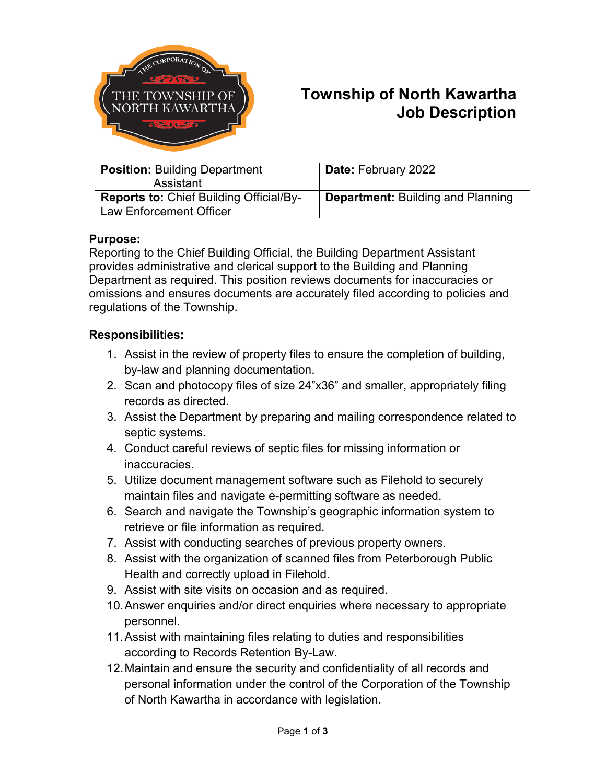

# **Township of North Kawartha Job Description**

| <b>Position: Building Department</b><br>Assistant                                | <b>Date: February 2022</b>               |
|----------------------------------------------------------------------------------|------------------------------------------|
| <b>Reports to: Chief Building Official/By-</b><br><b>Law Enforcement Officer</b> | <b>Department: Building and Planning</b> |

### **Purpose:**

Reporting to the Chief Building Official, the Building Department Assistant provides administrative and clerical support to the Building and Planning Department as required. This position reviews documents for inaccuracies or omissions and ensures documents are accurately filed according to policies and regulations of the Township.

#### **Responsibilities:**

- 1. Assist in the review of property files to ensure the completion of building, by-law and planning documentation.
- 2. Scan and photocopy files of size 24"x36" and smaller, appropriately filing records as directed.
- 3. Assist the Department by preparing and mailing correspondence related to septic systems.
- 4. Conduct careful reviews of septic files for missing information or inaccuracies.
- 5. Utilize document management software such as Filehold to securely maintain files and navigate e-permitting software as needed.
- 6. Search and navigate the Township's geographic information system to retrieve or file information as required.
- 7. Assist with conducting searches of previous property owners.
- 8. Assist with the organization of scanned files from Peterborough Public Health and correctly upload in Filehold.
- 9. Assist with site visits on occasion and as required.
- 10.Answer enquiries and/or direct enquiries where necessary to appropriate personnel.
- 11.Assist with maintaining files relating to duties and responsibilities according to Records Retention By-Law.
- 12.Maintain and ensure the security and confidentiality of all records and personal information under the control of the Corporation of the Township of North Kawartha in accordance with legislation.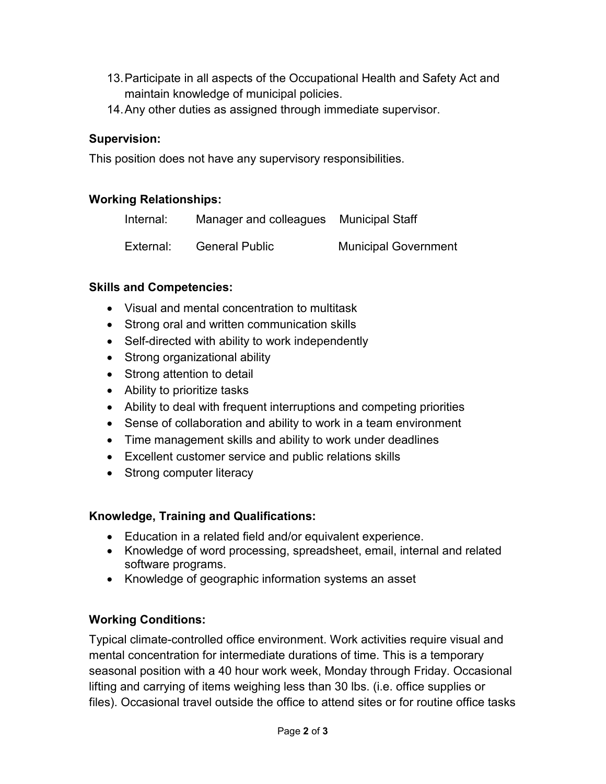- 13.Participate in all aspects of the Occupational Health and Safety Act and maintain knowledge of municipal policies.
- 14.Any other duties as assigned through immediate supervisor.

## **Supervision:**

This position does not have any supervisory responsibilities.

## **Working Relationships:**

| Internal: | Manager and colleagues Municipal Staff |                             |
|-----------|----------------------------------------|-----------------------------|
| External: | <b>General Public</b>                  | <b>Municipal Government</b> |

### **Skills and Competencies:**

- Visual and mental concentration to multitask
- Strong oral and written communication skills
- Self-directed with ability to work independently
- Strong organizational ability
- Strong attention to detail
- Ability to prioritize tasks
- Ability to deal with frequent interruptions and competing priorities
- Sense of collaboration and ability to work in a team environment
- Time management skills and ability to work under deadlines
- Excellent customer service and public relations skills
- Strong computer literacy

# **Knowledge, Training and Qualifications:**

- Education in a related field and/or equivalent experience.
- Knowledge of word processing, spreadsheet, email, internal and related software programs.
- Knowledge of geographic information systems an asset

# **Working Conditions:**

Typical climate-controlled office environment. Work activities require visual and mental concentration for intermediate durations of time. This is a temporary seasonal position with a 40 hour work week, Monday through Friday. Occasional lifting and carrying of items weighing less than 30 lbs. (i.e. office supplies or files). Occasional travel outside the office to attend sites or for routine office tasks